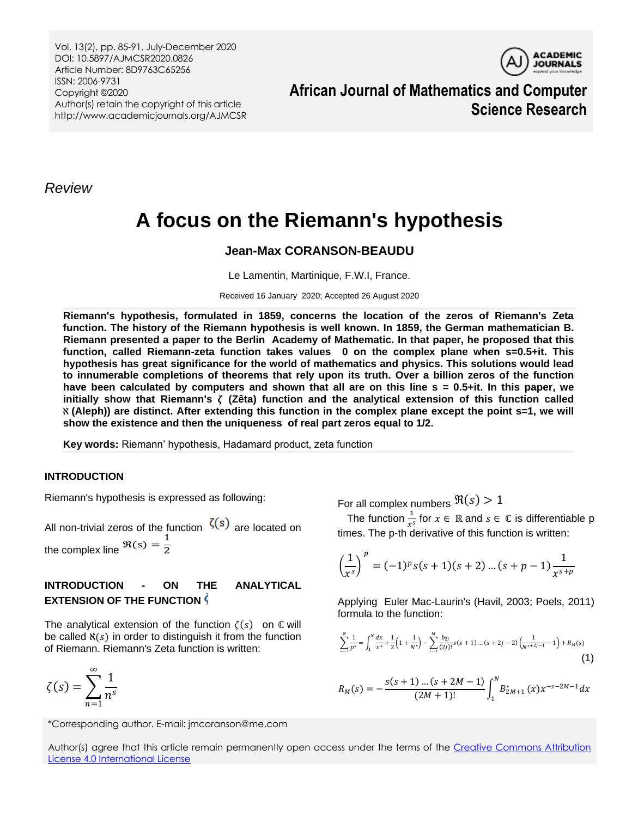Vol. 13(2), pp. 85-91, July-December 2020 DOI: 10.5897/AJMCSR2020.0826 Article Number: 8D9763C65256 ISSN: 2006-9731 Copyright ©2020 Author(s) retain the copyright of this article http://www.academicjournals.org/AJMCSR



**African Journal of Mathematics and Computer Science Research**

*Review*

# **A focus on the Riemann's hypothesis**

## **Jean-Max CORANSON-BEAUDU**

Le Lamentin, Martinique, F.W.I, France.

Received 16 January 2020; Accepted 26 August 2020

**Riemann's hypothesis, formulated in 1859, concerns the location of the zeros of Riemann's Zeta function. The history of the Riemann hypothesis is well known. In 1859, the German mathematician B. Riemann presented a paper to the Berlin Academy of Mathematic. In that paper, he proposed that this function, called Riemann-zeta function takes values 0 on the complex plane when s=0.5+it. This hypothesis has great significance for the world of mathematics and physics. This solutions would lead to innumerable completions of theorems that rely upon its truth. Over a billion zeros of the function have been calculated by computers and shown that all are on this line s = 0.5+it. In this paper, we initially show that Riemann's (Zêta) function and the analytical extension of this function called (Aleph)) are distinct. After extending this function in the complex plane except the point s=1, we will show the existence and then the uniqueness of real part zeros equal to 1/2.**

**Key words:** Riemann' hypothesis, Hadamard product, zeta function

### **INTRODUCTION**

Riemann's hypothesis is expressed as following:

All non-trivial zeros of the function  $\zeta(s)$  are located on the complex line  $\Re(s) = \frac{1}{2}$ 2

## **INTRODUCTION - ON THE ANALYTICAL EXTENSION OF THE FUNCTION**

The analytical extension of the function  $\zeta(s)$  on  $\mathbb C$  will be called  $\aleph(s)$  in order to distinguish it from the function of Riemann. Riemann's Zeta function is written:

$$
\zeta(s) = \sum_{n=1}^{\infty} \frac{1}{n^s}
$$

For all complex numbers  $\Re(s) > 1$ 

The function  $\frac{1}{x^s}$  for  $x \in \mathbb{R}$  and  $s \in \mathbb{C}$  is differentiable p times. The p-th derivative of this function is written:

$$
\left(\frac{1}{x^{s}}\right)^{p} = (-1)^{p} s(s+1)(s+2) \dots (s+p-1) \frac{1}{x^{s+p}}
$$

Applying Euler Mac-Laurin's (Havil, 2003; Poels, 2011) formula to the function:

$$
\sum_{n=1}^{N} \frac{1}{p^s} = \int_1^N \frac{dx}{x^s} + \frac{1}{2} \left( 1 + \frac{1}{N^s} \right) - \sum_{i=1}^{M} \frac{b_{2j}}{(2j)!} s(s+1) \dots (s+2j-2) \left( \frac{1}{N^{s+2j-1}} - 1 \right) + R_M(s)
$$
\n(1)

$$
R_M(s) = -\frac{s(s+1)\dots(s+2M-1)}{(2M+1)!} \int_1^N B^*_{2M+1}(x) x^{-s-2M-1} dx
$$

\*Corresponding author. E-mail: jmcoranson@me.com

Author(s) agree that this article remain permanently open access under the terms of the Creative Commons Attribution [License 4.0 International License](http://creativecommons.org/licenses/by/4.0/deed.en_US)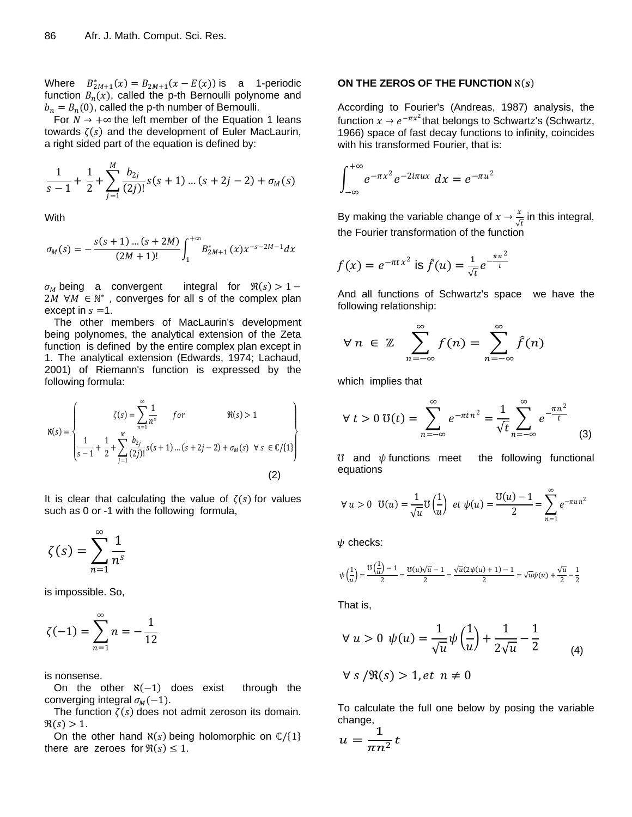Where  $B_{2M+1}^*(x) = B_{2M+1}(x - E(x))$  is a 1-periodic function  $B_n(x)$ , called the p-th Bernoulli polynome and  $b_n = B_n(0)$ , called the p-th number of Bernoulli.

For  $N \rightarrow +\infty$  the left member of the Equation 1 leans towards  $\zeta(s)$  and the development of Euler MacLaurin, a right sided part of the equation is defined by:

$$
\frac{1}{s-1} + \frac{1}{2} + \sum_{j=1}^{M} \frac{b_{2j}}{(2j)!} s(s+1) \dots (s+2j-2) + \sigma_M(s)
$$

**With** 

$$
\sigma_M(s) = -\frac{s(s+1)\dots(s+2M)}{(2M+1)!} \int_1^{+\infty} B_{2M+1}^*(x) x^{-s-2M-1} dx
$$

 $\sigma_M$  being a convergent integral for  $\Re(s) > 1 2M \forall M \in \mathbb{N}^*$ , converges for all s of the complex plan except in  $s = 1$ .

The other members of MacLaurin's development being polynomes, the analytical extension of the Zeta function is defined by the entire complex plan except in 1. The analytical extension (Edwards, 1974; Lachaud, 2001) of Riemann's function is expressed by the following formula:

$$
\aleph(s) = \left\{ \begin{array}{ll} \zeta(s) = \sum_{n=1}^{\infty} \frac{1}{n^s} & \text{for} & \Re(s) > 1 \\ \frac{1}{s-1} + \frac{1}{2} + \sum_{j=1}^{M} \frac{b_{2j}}{(2j)!} s(s+1) \dots (s+2j-2) + \sigma_M(s) & \forall s \in \mathbb{C} / \{1\} \end{array} \right\}
$$
(2)

It is clear that calculating the value of  $\zeta(s)$  for values such as 0 or -1 with the following formula,

$$
\zeta(s) = \sum_{n=1}^{\infty} \frac{1}{n^s}
$$

is impossible. So,

$$
\zeta(-1) = \sum_{n=1}^{\infty} n = -\frac{1}{12}
$$

is nonsense.

On the other  $\aleph(-1)$  does exist through the converging integral  $\sigma_M(-1)$ .

The function  $\zeta(s)$  does not admit zeroson its domain.  $\Re(s) > 1$ .

On the other hand  $\aleph(s)$  being holomorphic on  $\mathbb{C}/\{1\}$ there are zeroes for  $\Re(s) \leq 1$ .

#### **ON THE ZEROS OF THE FUNCTION**  $\aleph(s)$

According to Fourier's (Andreas, 1987) analysis, the function  $x \to e^{-\pi x^2}$ that belongs to Schwartz's (Schwartz, 1966) space of fast decay functions to infinity, coincides with his transformed Fourier, that is:

$$
\int_{-\infty}^{+\infty} e^{-\pi x^2} e^{-2i\pi ux} dx = e^{-\pi u^2}
$$

By making the variable change of  $x \rightarrow \frac{x}{6}$  $\frac{x}{\sqrt{t}}$  in this integral, the Fourier transformation of the function

$$
f(x) = e^{-\pi t x^2}
$$
 is  $\hat{f}(u) = \frac{1}{\sqrt{t}} e^{-\frac{\pi u^2}{t}}$ 

And all functions of Schwartz's space we have the following relationship:

$$
\forall n \in \mathbb{Z} \quad \sum_{n=-\infty}^{\infty} f(n) = \sum_{n=-\infty}^{\infty} \hat{f}(n)
$$

which implies that

$$
\forall t > 0 \, \mathfrak{V}(t) = \sum_{n = -\infty}^{\infty} e^{-\pi t n^2} = \frac{1}{\sqrt{t}} \sum_{n = -\infty}^{\infty} e^{-\frac{\pi n^2}{t}} \tag{3}
$$

 $\sigma$  and  $\psi$  functions meet the following functional equations

$$
\forall u > 0 \ \ U(u) = \frac{1}{\sqrt{u}} U\left(\frac{1}{u}\right) \ et \ \psi(u) = \frac{U(u) - 1}{2} = \sum_{n=1}^{\infty} e^{-\pi u n^2}
$$

 $\psi$  checks:

$$
\psi\left(\frac{1}{u}\right)=\frac{\upsilon\left(\frac{1}{u}\right)-1}{2}=\frac{\upsilon(u)\sqrt{u}-1}{2}=\frac{\sqrt{u}(2\psi(u)+1)-1}{2}=\sqrt{u}\psi(u)+\frac{\sqrt{u}}{2}-\frac{1}{2}
$$

That is,

$$
\forall u > 0 \ \psi(u) = \frac{1}{\sqrt{u}} \psi\left(\frac{1}{u}\right) + \frac{1}{2\sqrt{u}} - \frac{1}{2}
$$
 (4)

$$
\forall s/\Re(s) > 1, et \; n \neq 0
$$

To calculate the full one below by posing the variable change,

$$
u = \frac{1}{\pi n^2} t
$$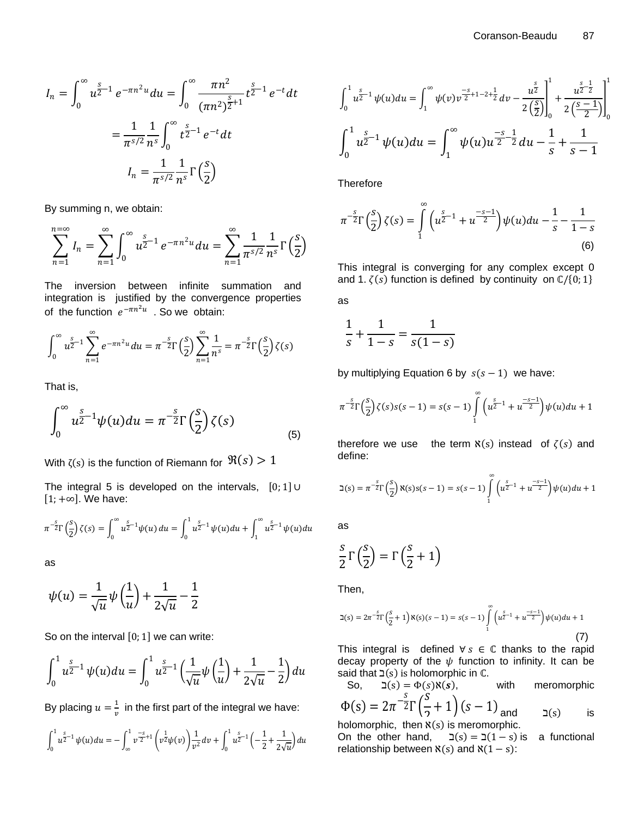$$
I_n = \int_0^\infty u^{\frac{s}{2}-1} e^{-\pi n^2 u} du = \int_0^\infty \frac{\pi n^2}{(\pi n^2)^{\frac{s}{2}+1}} t^{\frac{s}{2}-1} e^{-t} dt
$$

$$
= \frac{1}{\pi^{s/2}} \frac{1}{n^s} \int_0^\infty t^{\frac{s}{2}-1} e^{-t} dt
$$

$$
I_n = \frac{1}{\pi^{s/2}} \frac{1}{n^s} \Gamma\left(\frac{s}{2}\right)
$$

By summing n, we obtain:

$$
\sum_{n=1}^{n=\infty} I_n = \sum_{n=1}^{\infty} \int_0^{\infty} u^{\frac{s}{2}-1} e^{-\pi n^2 u} du = \sum_{n=1}^{\infty} \frac{1}{\pi^{s/2}} \frac{1}{n^s} \Gamma\left(\frac{s}{2}\right)
$$

The inversion between infinite summation and integration is justified by the convergence properties of the function  $e^{-\pi n^2 u}$  . So we obtain:

$$
\int_0^{\infty} u^{\frac{s}{2}-1} \sum_{n=1}^{\infty} e^{-\pi n^2 u} du = \pi^{-\frac{s}{2}} \Gamma\left(\frac{s}{2}\right) \sum_{n=1}^{\infty} \frac{1}{n^s} = \pi^{-\frac{s}{2}} \Gamma\left(\frac{s}{2}\right) \zeta(s)
$$

That is,

$$
\int_0^\infty u^{\frac{s}{2}-1} \psi(u) du = \pi^{-\frac{s}{2}} \Gamma\left(\frac{s}{2}\right) \zeta(s) \tag{5}
$$

With ζ(s) is the function of Riemann for  $\, \Re(s) > 1 \,$ 

The integral 5 is developed on the intervals,  $[0;1]$  U  $[1; +\infty]$ . We have:

$$
\pi^{-\frac{s}{2}}\Gamma\left(\frac{s}{2}\right)\zeta(s) = \int_0^\infty u^{\frac{s}{2}-1}\psi(u)\,du = \int_0^1 u^{\frac{s}{2}-1}\psi(u)\,du + \int_1^\infty u^{\frac{s}{2}-1}\psi(u)\,du
$$

as

$$
\psi(u) = \frac{1}{\sqrt{u}}\psi\left(\frac{1}{u}\right) + \frac{1}{2\sqrt{u}} - \frac{1}{2}
$$

So on the interval  $[0; 1]$  we can write:

$$
\int_0^1 u^{\frac{s}{2}-1} \psi(u) du = \int_0^1 u^{\frac{s}{2}-1} \left( \frac{1}{\sqrt{u}} \psi \left( \frac{1}{u} \right) + \frac{1}{2\sqrt{u}} - \frac{1}{2} \right) du
$$

By placing  $u=\frac{1}{u}$  $\frac{1}{v}$  in the first part of the integral we have:

$$
\int_0^1 u^{\frac{s}{2}-1} \psi(u) du = - \int_{\infty}^1 v^{\frac{-s}{2}+1} \left( v^{\frac{1}{2}} \psi(v) \right) \frac{1}{v^2} dv + \int_0^1 u^{\frac{s}{2}-1} \left( -\frac{1}{2} + \frac{1}{2\sqrt{u}} \right) du
$$

$$
\int_0^1 u^{\frac{s}{2}-1} \psi(u) du = \int_1^\infty \psi(v) v^{\frac{-s}{2}+1-2+\frac{1}{2}} dv - \frac{u^{\frac{s}{2}}}{2\left(\frac{s}{2}\right)} \bigg|_0^1 + \frac{u^{\frac{s}{2}-\frac{1}{2}}}{2\left(\frac{s-1}{2}\right)} \bigg|_0^1
$$

$$
\int_0^1 u^{\frac{s}{2}-1} \psi(u) du = \int_1^\infty \psi(u) u^{\frac{-s}{2}-\frac{1}{2}} du - \frac{1}{s} + \frac{1}{s-1}
$$

Therefore

$$
\pi^{-\frac{s}{2}}\Gamma\left(\frac{s}{2}\right)\zeta(s) = \int_{1}^{\infty} \left(u^{\frac{s}{2}-1} + u^{\frac{-s-1}{2}}\right)\psi(u)du - \frac{1}{s} - \frac{1}{1-s}
$$
\n(6)

This integral is converging for any complex except 0 and 1.  $\zeta(s)$  function is defined by continuity on  $\mathbb{C}/\{0, 1\}$ 

as

$$
\frac{1}{s} + \frac{1}{1-s} = \frac{1}{s(1-s)}
$$

by multiplying Equation 6 by  $s(s - 1)$  we have:

$$
\pi^{-\frac{s}{2}}\Gamma\left(\frac{s}{2}\right)\zeta(s)s(s-1) = s(s-1)\int_{1}^{\infty} \left(u^{\frac{s}{2}-1} + u^{\frac{-s-1}{2}}\right)\psi(u)du + 1
$$

therefore we use the term  $\aleph(s)$  instead of  $\zeta(s)$  and define:

$$
\beth(s) = \pi^{-\frac{s}{2}} \Gamma\left(\frac{s}{2}\right) \aleph(s) s(s-1) = s(s-1) \int_{1}^{\infty} \left(u^{\frac{s}{2}-1} + u^{\frac{-s-1}{2}}\right) \psi(u) du + 1
$$

as

$$
\frac{s}{2}\Gamma\left(\frac{s}{2}\right) = \Gamma\left(\frac{s}{2} + 1\right)
$$

Then,

$$
\beth(s) = 2\pi^{-\frac{s}{2}} \Gamma\left(\frac{s}{2} + 1\right) \aleph(s) (s - 1) = s(s - 1) \int_{1}^{\infty} \left(u^{\frac{s}{2} - 1} + u^{\frac{-s - 1}{2}}\right) \psi(u) du + 1
$$
\n(7)

This integral is defined  $\forall s \in \mathbb{C}$  thanks to the rapid decay property of the  $\psi$  function to infinity. It can be said that  $\exists(s)$  is holomorphic in  $\mathbb{C}$ .

So, 
$$
\beth(s) = \Phi(s) \aleph(s)
$$
, with meromorphic  
\n
$$
\Phi(s) = 2\pi^{-\frac{s}{2}} \Gamma\left(\frac{s}{2} + 1\right) (s - 1) \text{ and } \heartsuit(s)
$$
 is

$$
\frac{\varphi(s) - 2\pi^{-2} \Gamma(\gamma^{-1}) \Gamma(s)}{\text{holomorphic, then } \aleph(s) \text{ is meromorphic.}}
$$

On the other hand,  $\exists (s) = \exists (1 - s)$  is a functional relationship between  $\aleph(s)$  and  $\aleph(1 - s)$ :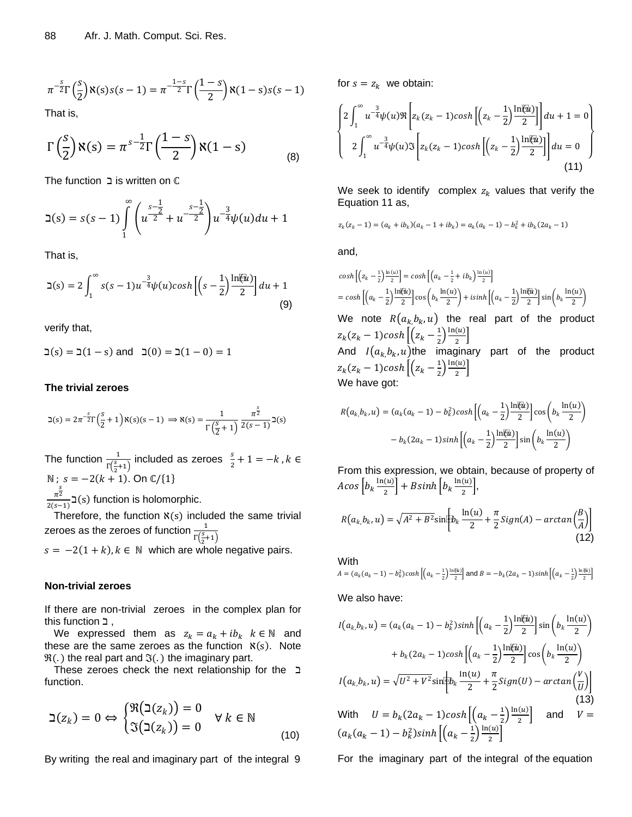$$
\pi^{-\frac{s}{2}}\Gamma\left(\frac{s}{2}\right)\aleph(s)s(s-1)=\pi^{-\frac{1-s}{2}}\Gamma\left(\frac{1-s}{2}\right)\aleph(1-s)s(s-1)
$$

That is,

$$
\Gamma\left(\frac{s}{2}\right) \aleph(s) = \pi^{s-\frac{1}{2}} \Gamma\left(\frac{1-s}{2}\right) \aleph(1-s) \tag{8}
$$

 $The function 1 is written on  $C$$ 

$$
\beth(s) = s(s-1) \int_{1}^{\infty} \left( u^{\frac{s-\frac{1}{2}}{2}} + u^{\frac{s-\frac{1}{2}}{2}} \right) u^{\frac{3}{4}} \psi(u) du + 1
$$

That is,

$$
\beth(s) = 2 \int_1^\infty s(s-1) u^{-\frac{3}{4}} \psi(u) \cosh\left[\left(s-\frac{1}{2}\right) \frac{\ln(u)}{2}\right] du + 1
$$
\n(9)

verify that,

 $\Box(s) = \Box(1 - s)$  and  $\Box(0) = \Box(1 - 0) = 1$ 

#### **The trivial zeroes**

$$
\beth(s) = 2\pi^{-\frac{s}{2}} \Gamma\left(\frac{s}{2} + 1\right) \aleph(s) (s - 1) \implies \aleph(s) = \frac{1}{\Gamma\left(\frac{s}{2} + 1\right)} \frac{\pi^{\frac{s}{2}}}{2(s - 1)} \beth(s)
$$

The function  $\frac{1}{\Gamma(\frac{5}{2}+1)}$  included as zeroes  $\frac{s}{2}$  $\frac{s}{2}+1=-k, k \in$ N ;  $s = -2(k + 1)$ . On  $\mathbb{C}/\{1\}$  $\frac{s}{\pi^2}$  $\frac{n^2}{2(s-1)}$   $\gimel(s)$  function is holomorphic.

Therefore, the function  $x(s)$  included the same trivial zeroes as the zeroes of function  $\frac{1}{\Gamma(\frac{S}{2}+1)}$ 

 $s = -2(1 + k)$ ,  $k \in \mathbb{N}$  which are whole negative pairs.

#### **Non-trivial zeroes**

If there are non-trivial zeroes in the complex plan for this function ,

We expressed them as  $z_k = a_k + ib_k$   $k \in \mathbb{N}$  and these are the same zeroes as the function  $\aleph(s)$ . Note  $\mathfrak{R}(.)$  the real part and  $\mathfrak{I}(.)$  the imaginary part.

These zeroes check the next relationship for the function.

$$
\beth(z_k) = 0 \Leftrightarrow \begin{cases} \Re(\beth(z_k)) = 0 \\ \Im(\beth(z_k)) = 0 \end{cases} \forall k \in \mathbb{N}
$$
\n(10)

By writing the real and imaginary part of the integral 9

for 
$$
s = z_k
$$
 we obtain:  
\n
$$
\begin{cases}\n2 \int_1^{\infty} u^{-\frac{3}{4}} \psi(u) \Re \left[ z_k (z_k - 1) \cosh \left[ \left( z_k - \frac{1}{2} \right) \frac{\ln(\vec{u})}{2} \right] \right] du + 1 = 0 \\
2 \int_1^{\infty} u^{-\frac{3}{4}} \psi(u) \Im \left[ z_k (z_k - 1) \cosh \left[ \left( z_k - \frac{1}{2} \right) \frac{\ln(\vec{u})}{2} \right] \right] du = 0 \\
\end{cases}
$$
\n(11)

We seek to identify complex  $z_k$  values that verify the Equation 11 as,

$$
z_k(z_k-1) = (a_k + ib_k)(a_k - 1 + ib_k) = a_k(a_k - 1) - b_k^2 + ib_k(2a_k - 1)
$$

and,

$$
\cosh\left[\left(z_k - \frac{1}{2}\right)^{\frac{\ln(u)}{2}}\right] = \cosh\left[\left(a_k - \frac{1}{2} + ib_k\right)^{\frac{\ln(u)}{2}}\right]
$$
\n
$$
= \cosh\left[\left(a_k - \frac{1}{2}\right)^{\frac{\ln(u)}{2}}\right] \cos\left(b_k \frac{\ln(u)}{2}\right) + \sinh\left[\left(a_k - \frac{1}{2}\right)^{\frac{\ln(u)}{2}}\right] \sin\left(b_k \frac{\ln(u)}{2}\right)
$$
\nWe note  $R(a_k, b_k, u)$  the real part of the product\n
$$
z_k(z_k - 1)\cosh\left[\left(z_k - \frac{1}{2}\right)^{\frac{\ln(u)}{2}}\right]
$$
\nAnd  $I(a_k, b_k, u)$  the imaginary part of the product\n
$$
z_k(z_k - 1)\cosh\left[\left(z_k - \frac{1}{2}\right)^{\frac{\ln(u)}{2}}\right]
$$
\nWe have got:

$$
R(a_k, b_k, u) = (a_k(a_k - 1) - b_k^2)\cosh\left[\left(a_k - \frac{1}{2}\right) \frac{\ln(\bar{u})}{2}\right] \cos\left(b_k \frac{\ln(u)}{2}\right)
$$

$$
-b_k(2a_k - 1)\sinh\left[\left(a_k - \frac{1}{2}\right) \frac{\ln(\bar{u})}{2}\right] \sin\left(b_k \frac{\ln(u)}{2}\right)
$$

From this expression, we obtain, because of property of Acos  $b_k \frac{\ln(u)}{2}$  $\left[\frac{(u)}{2}\right]$  +  $B\sinh\left[b_k\frac{\ln(u)}{2}\right]$  $\frac{\left(u\right)}{2}$ ,

$$
R(a_k, b_k, u) = \sqrt{A^2 + B^2} \sin \left[b_k \frac{\ln(u)}{2} + \frac{\pi}{2} Sign(A) - \arctan\left(\frac{B}{A}\right)\right]
$$
\n(12)

With  
\n
$$
A = (a_k(a_k - 1) - b_k^2)\cosh\left[\left(a_k - \frac{1}{2}\right)\frac{\ln(\bar{w})}{2}\right]
$$
\nand 
$$
B = -b_k(2a_k - 1)\sinh\left[\left(a_k - \frac{1}{2}\right)\frac{\ln(\bar{w})}{2}\right]
$$

We also have:

$$
I(a_{k}, b_{k}, u) = (a_{k}(a_{k} - 1) - b_{k}^{2})sinh\left[\left(a_{k} - \frac{1}{2}\right) \frac{\ln(\bar{u})}{2}\right]sin\left(b_{k} \frac{\ln(u)}{2}\right) + b_{k}(2a_{k} - 1)cosh\left[\left(a_{k} - \frac{1}{2}\right) \frac{\ln(\bar{u})}{2}\right]cos\left(b_{k} \frac{\ln(u)}{2}\right) I(a_{k}, b_{k}, u) = \sqrt{U^{2} + V^{2}}sin\left(b_{k} \frac{\ln(u)}{2} + \frac{\pi}{2}Sign(U) - arctan\left(\frac{V}{U}\right)\right)
$$
(13)  
With  $U = b_{k}(2a_{k} - 1)cosh\left[\left(a_{k} - \frac{1}{2}\right) \frac{\ln(u)}{2}\right]$  and  $V = (a_{k}(a_{k} - 1) - b_{k}^{2})sinh\left[\left(a_{k} - \frac{1}{2}\right) \frac{\ln(u)}{2}\right]$ 

For the imaginary part of the integral of the equation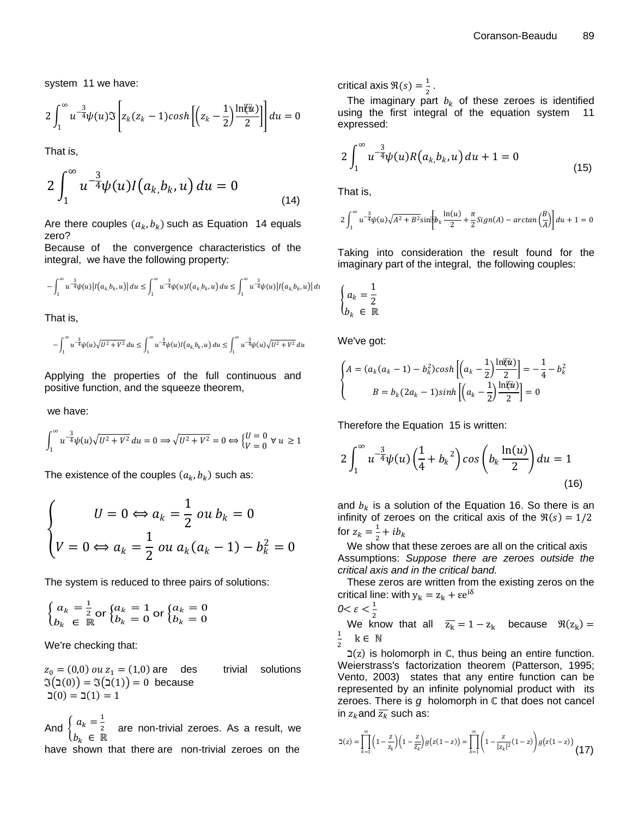system 11 we have:

$$
2\int_1^\infty u^{-\frac{3}{4}}\psi(u)\Im\left[z_k(z_k-1)cosh\left[\left(z_k-\frac{1}{2}\right)\frac{\ln(i\omega)}{2}\right]\right]du=0
$$

That is,

$$
2\int_{1}^{\infty}u^{-\frac{3}{4}}\psi(u)I(a_{k,}b_{k},u)du=0
$$
\n(14)

Are there couples  $(a_k, b_k)$  such as Equation 14 equals zero?

Because of the convergence characteristics of the integral, we have the following property:

$$
-\int_1^{\infty} u^{-\frac{3}{4}} \psi(u) |I(a_k, b_k, u)| du \leq \int_1^{\infty} u^{-\frac{3}{4}} \psi(u) I(a_k, b_k, u) du \leq \int_1^{\infty} u^{-\frac{3}{4}} \psi(u) |I(a_k, b_k, u)| du
$$

That is,

$$
-\int_{1}^{\infty} u^{-\frac{3}{4}} \psi(u) \sqrt{U^2 + V^2} \, du \le \int_{1}^{\infty} u^{-\frac{3}{4}} \psi(u) I(a_k, b_k, u) \, du \le \int_{1}^{\infty} u^{-\frac{3}{4}} \psi(u) \sqrt{U^2 + V^2} \, du
$$

Applying the properties of the full continuous and positive function, and the squeeze theorem,

we have:

$$
\int_1^\infty u^{-\frac{3}{4}} \psi(u) \sqrt{U^2 + V^2} \, du = 0 \Longrightarrow \sqrt{U^2 + V^2} = 0 \Leftrightarrow \begin{cases} U = 0 \\ V = 0 \end{cases} \forall u \ge 1
$$

The existence of the couples  $\left( a_{k},b_{k}\right)$  such as:

$$
\begin{cases}\nU = 0 \Leftrightarrow a_k = \frac{1}{2} \text{ ou } b_k = 0 \\
V = 0 \Leftrightarrow a_k = \frac{1}{2} \text{ ou } a_k (a_k - 1) - b_k^2 = 0\n\end{cases}
$$

The system is reduced to three pairs of solutions:

$$
\begin{cases} a_k = \frac{1}{2} \text{ or } \begin{cases} a_k = 1 \\ b_k = 0 \end{cases} \text{ or } \begin{cases} a_k = 0 \\ b_k = 0 \end{cases}
$$

We're checking that:

 $z_0 = (0, 0)$  ou  $z_1 = (1, 0)$  are des trivial solutions  $\Im(0) = \Im(1) = 0$  because  $\zeta(0) = \zeta(1) = 1$ 

And  $\begin{cases} a_k = \frac{1}{2} \end{cases}$  $b_k \in \mathbb{R}$  are non-trivial zeroes. As a result, we have shown that there are non-trivial zeroes on the critical axis  $\Re(s) = \frac{1}{3}$  $\frac{1}{2}$ .

The imaginary part  $b_k$  of these zeroes is identified using the first integral of the equation system 11 expressed:

$$
2\int_{1}^{\infty}u^{-\frac{3}{4}}\psi(u)R(a_{k,}b_{k},u)du+1=0
$$
\n(15)

That is,

$$
2\int_1^\infty u^{-\frac{3}{4}}\psi(u)\sqrt{A^2+B^2}\text{sin}\bigg[b_k\frac{\ln(u)}{2}+\frac{\pi}{2}Sign(A)-\arctan\bigg(\frac{B}{A}\bigg)\bigg]\,du+1=0
$$

Taking into consideration the result found for the imaginary part of the integral, the following couples:

$$
\begin{cases} a_k = \frac{1}{2} \\ b_k \in \mathbb{R} \end{cases}
$$

We've got:

$$
\begin{cases}\nA = (a_k(a_k - 1) - b_k^2)\cosh\left[\left(a_k - \frac{1}{2}\right)\frac{\ln(k)}{2}\right] = -\frac{1}{4} - b_k^2 \\
B = b_k(2a_k - 1)\sinh\left[\left(a_k - \frac{1}{2}\right)\frac{\ln(k)}{2}\right] = 0\n\end{cases}
$$

Therefore the Equation 15 is written:

$$
2\int_{1}^{\infty} u^{-\frac{3}{4}} \psi(u) \left(\frac{1}{4} + b_k^2\right) \cos\left(b_k \frac{\ln(u)}{2}\right) du = 1
$$
\n(16)

and  $b_k$  is a solution of the Equation 16. So there is an infinity of zeroes on the critical axis of the  $\Re(s) = 1/2$ for  $z_k = \frac{1}{2}$  $rac{1}{2} + ib_k$ 

We show that these zeroes are all on the critical axis Assumptions: *Suppose there are zeroes outside the critical axis and in the critical band.*

These zeros are written from the existing zeros on the critical line: with  $y_k = z_k + \epsilon e^{i\theta}$ 

$$
0 < \varepsilon < \frac{1}{2}
$$

We know that all  $\overline{z_k} = 1 - z_k$  because  $\Re(z_k) =$  $\mathbf{1}$  $\overline{\mathbf{c}}$  $k \in \mathbb{N}$ 

 $\mathcal{I}(z)$  is holomorph in  $\mathbb{C}$ , thus being an entire function. Weierstrass's factorization theorem (Patterson, 1995; Vento, 2003) states that any entire function can be represented by an infinite polynomial product with its zeroes. There is  $g$  holomorph in  $\mathbb C$  that does not cancel in  $z_k$  and  $\overline{z_k}$  such as:

$$
\beth(z) = \prod_{k=1}^{\infty} \left(1 - \frac{z}{z_k}\right) \left(1 - \frac{z}{\overline{z_k}}\right) g\big(z(1-z)\big) = \prod_{k=1}^{\infty} \left(1 - \frac{z}{|z_k|^2} (1-z)\right) g\big(z(1-z)\big) \tag{17}
$$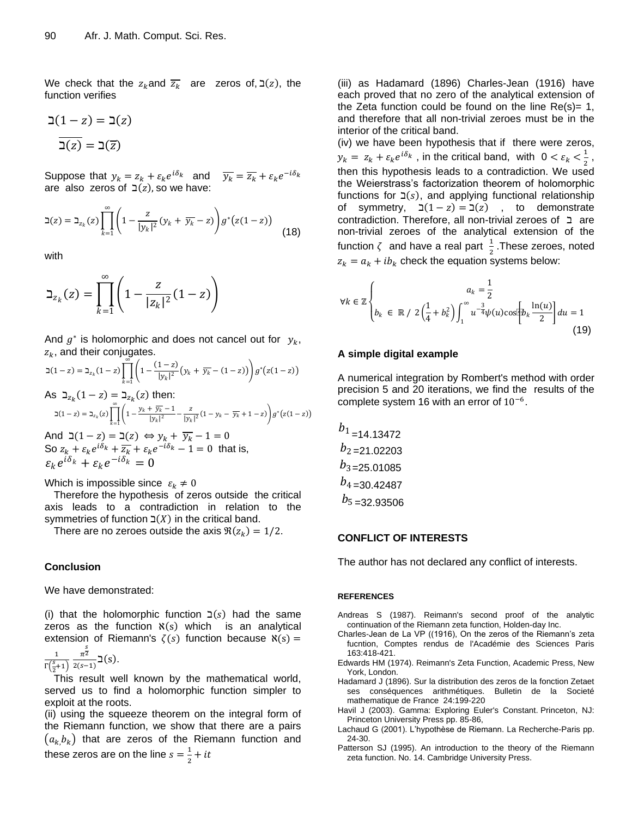We check that the  $z_k$  and  $\overline{z_k}$  are zeros of,  $\mathfrak{I}(z)$ , the function verifies

$$
\mathfrak{2}(1-z) = \mathfrak{2}(z)
$$

$$
\overline{\mathfrak{2}(z)} = \mathfrak{2}(\overline{z})
$$

Suppose that  $y_k = z_k + \varepsilon_k e^{i\delta_k}$  and  $\overline{y_k} = \overline{z_k} + \varepsilon_k e^{-\overline{z_k}}$ are also zeros of  $\exists (z)$ , so we have:

$$
\mathsf{d}(z) = \mathsf{d}_{z_k}(z) \prod_{k=1}^{\infty} \left( 1 - \frac{z}{|y_k|^2} (y_k + \overline{y_k} - z) \right) g^*(z(1-z)) \tag{18}
$$

with

$$
\beth_{z_k}(z) = \prod_{k=1}^{\infty} \left(1 - \frac{z}{|z_k|^2} (1 - z)\right)
$$

And  $g^*$  is holomorphic and does not cancel out for  $y_k$ ,  $z_k$ , and their conjugates.

$$
\mathfrak{I}(1-z) = \mathfrak{I}_{z_k}(1-z) \prod_{k=1}^{\infty} \left( 1 - \frac{(1-z)}{|y_k|^2} \left( y_k + \overline{y_k} - (1-z) \right) \right) g^*(z(1-z))
$$

As 
$$
\beth_{z_k}(1-z) = \beth_{z_k}(z)
$$
 then:  
\n $\beth(1-z) = \beth_{z_k}(z) \prod_{k=1}^{\infty} \left(1 - \frac{y_k + \overline{y_k} - 1}{|y_k|^2} - \frac{z}{|y_k|^2}(1 - y_k - \overline{y_k} + 1 - z)\right) g^*(z(1-z))$   
\nAnd  $\beth(1-z) = \beth(z) \Leftrightarrow y_k + \overline{y_k} - 1 = 0$ 

So  $z_k + \varepsilon_k e^{i\delta_k} + \overline{z_k} + \varepsilon_k e^{-i\delta_k} - 1 = 0$  that is,  $\varepsilon_k e^{i\delta_k} + \varepsilon_k e^{-i\delta_k} = 0$ 

Which is impossible since  $\varepsilon_k \neq 0$ 

Therefore the hypothesis of zeros outside the critical axis leads to a contradiction in relation to the symmetries of function  $\Sigma(X)$  in the critical band.

There are no zeroes outside the axis  $\Re(z_k) = 1/2$ .

#### **Conclusion**

We have demonstrated:

 $(i)$  that the holomorphic function  $\exists (s)$  had the same zeros as the function  $\aleph(s)$  which is an analytical extension of Riemann's  $\zeta(s)$  function because  $\aleph(s)$  =

$$
\frac{1}{\Gamma\left(\frac{s}{2}+1\right)}\frac{\pi^{\frac{s}{2}}}{2(s-1)}\beth\left(s\right).
$$

This result well known by the mathematical world, served us to find a holomorphic function simpler to exploit at the roots.

(ii) using the squeeze theorem on the integral form of the Riemann function, we show that there are a pairs  $(a_k, b_k)$  that are zeros of the Riemann function and these zeros are on the line  $s=\frac{1}{s}$  $rac{1}{2} + it$ 

(iii) as [Hadamard](https://fr.wikipedia.org/wiki/Jacques_Hadamard) (1896) Charles-Jean (1916) have each proved that no zero of the analytical extension of the Zeta function could be found on the line  $Re(s) = 1$ , and therefore that all non-trivial zeroes must be in the interior of the critical band.

(iv) we have been hypothesis that if there were zeros,  $y_k = z_k + \varepsilon_k e^{i\delta_k}$ , in the critical band, with  $0 < \varepsilon_k < \frac{1}{2}$  $\frac{1}{2}$ , then this hypothesis leads to a contradiction. We used the Weierstrass's factorization theorem of holomorphic functions for  $\exists(s)$ , and applying functional relationship of symmetry,  $\mathfrak{I}(1-z) = \mathfrak{I}(z)$ , to demonstrate contradiction. Therefore, all non-trivial zeroes of  $\Box$  are non-trivial zeroes of the analytical extension of the function  $\zeta$  and have a real part  $\frac{1}{2}$ .These zeroes, noted  $z_k = a_k + ib_k$  check the equation systems below: 2(1 − z) = (z) and other one can be the set of the chiral control and control and control and control and control and control and control and control and control and control and control and control and control and contr

$$
\forall k \in \mathbb{Z} \left\{ b_k \in \mathbb{R} / 2 \left( \frac{1}{4} + b_k^2 \right) \int_1^{\infty} u^{-\frac{3}{4}} \psi(u) \cos \left[ b_k \frac{\ln(u)}{2} \right] du = 1 \right. \tag{19}
$$

#### **A simple digital example**

A numerical integration by Rombert's method with order precision 5 and 20 iterations, we find the results of the complete system 16 with an error of  $10^{-6}$ .

$$
b1 = 14.13472b2 = 21.02203b3 = 25.01085b4 = 30.42487b5 = 32.93506
$$

#### **CONFLICT OF INTERESTS**

The author has not declared any conflict of interests.

#### **REFERENCES**

- Andreas S (1987). Reimann's second proof of the analytic continuation of the Riemann zeta function, Holden-day Inc.
- Charles-Jean de La VP ((1916), On the zeros of the Riemann's zeta fucntion, Comptes rendus de l'Académie des Sciences Paris 163:418-421.
- Edwards HM (1974). Reimann's Zeta Function, Academic Press, New York, London.
- Hadamard J (1896). Sur la distribution des zeros de la fonction Zetaet ses conséquences arithmétiques. Bulletin de la Societé mathematique de France 24:199-220
- Havil J (2003). [Gamma: Exploring Euler's Constant.](https://www.amazon.com/exec/obidos/ASIN/0691099839/ref=nosim/ericstreasuretro) Princeton, NJ: Princeton University Press pp. 85-86,
- Lachaud G (2001). L'hypothèse de Riemann. La Recherche-Paris pp. 24-30.
- Patterson SJ (1995). An introduction to the theory of the Riemann